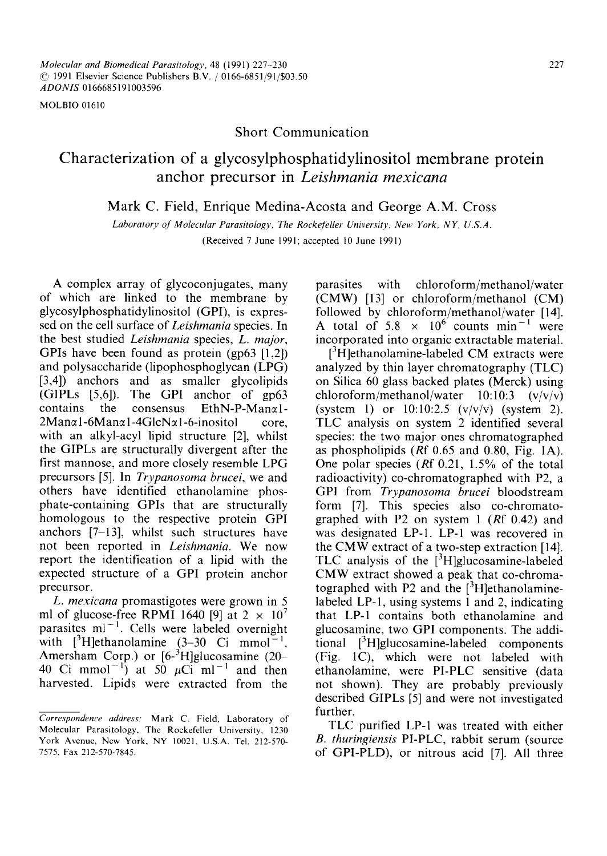MOLBIO 01610

# Short Communication

# **Characterization of a glycosylphosphatidylinositol membrane protein**  anchor precursor in *Leishmania mexicana*

Mark C. Field, Enrique Medina-Acosta and George A.M. Cross

Laboratory of Molecular Parasitology, The Rockefeller University, New York, NY, U.S.A. (Received 7 June 1991; accepted 10 June 1991)

A complex array of glycoconjugates, many of which are linked to the membrane by glycosylphosphatidylinositol (GPI), is expressed on the cell surface of *Leishmania* species. In the best studied *Leishmania* species, *L. major,*  GPIs have been found as protein (gp63 [1,2]) and polysaccharide (lipophosphoglycan (LPG) [3,4]) anchors and as smaller glycolipids (GIPLs [5,6]). The GPI anchor of gp63 contains the consensus EthN-P-Man $\alpha$ 1- $2Man\alpha$ 1-6Man $\alpha$ 1-4GlcN $\alpha$ 1-6-inositol core, with an alkyl-acyl lipid structure [2], whilst the GIPLs are structurally divergent after the first mannose, and more closely resemble LPG precursors [5]. In *Trypanosoma brucei,* we and others have identified ethanolamine phosphate-containing GPIs that are structurally homologous to the respective protein GPI anchors [7-13], whilst such structures have not been reported in *Leishmania.* We now report the identification of a lipid with the expected structure of a GPI protein anchor precursor.

*L. mexicana* promastigotes were grown in 5 ml of glucose-free RPMI 1640 [9] at  $2 \times 10^7$ parasites  $ml^{-1}$ . Cells were labeled overnight with  $[$ <sup>3</sup>H]ethanolamine (3–30 Ci mmol<sup>-1</sup>) Amersham Corp.) or  $[6-3]$ H]glucosamine (20-40 Ci mmol<sup>-1</sup>) at 50  $\mu$ Ci ml<sup>-1</sup> and then harvested. Lipids were extracted from the

parasites with chloroform/methanol/water (CMW) [13] or chloroform/methanol (CM) followed by chloroform/methanol/water [14]. A total of 5.8  $\times$  10<sup>6</sup> counts min<sup>-1</sup> were incorporated into organic extractable material.

 $[3H]$ ethanolamine-labeled CM extracts were analyzed by thin layer chromatography (TLC) on Silica 60 glass backed plates (Merck) using chloroform/methanol/water  $10:10:3$  (v/v/v) (system 1) or  $10:10:2.5$  (v/v/v) (system 2). TLC analysis on system 2 identified several species: the two major ones chromatographed as phospholipids (Rf 0.65 and 0.80, Fig. 1A). One polar species (Rf 0.21, 1.5% of the total radioactivity) co-chromatographed with P2, a GPI from *Trypanosoma brucei* bloodstream form [7]. This species also co-chromatographed with P2 on system 1 (Rf 0.42) and was designated LP-1. LP-1 was recovered in the CMW extract of a two-step extraction [14]. TLC analysis of the  $[3H]$ glucosamine-labeled CMW extract showed a peak that co-chromatographed with P2 and the  $[{}^{3}H]$ ethanolaminelabeled LP-1, using systems 1 and 2, indicating that LP-1 contains both ethanolamine and glucosamine, two GPI components. The additional [3H]glucosamine-labeled components (Fig. 1C), which were not labeled with ethanolamine, were PI-PLC sensitive (data not shown). They are probably previously described GIPLs [5] and were not investigated further.

TLC purified LP-1 was treated with either *B. thuringiensis* PI-PLC, rabbit serum (source of GPI-PLD), or nitrous acid [7]. All three

*Correspondence address."* Mark C. Field, Laboratory of Molecular Parasitology, The Rockefeller University, 1230 York Avenue, New York, NY 10021, U.S.A. Tel. 212-570- 7575, Fax 212-570-7845.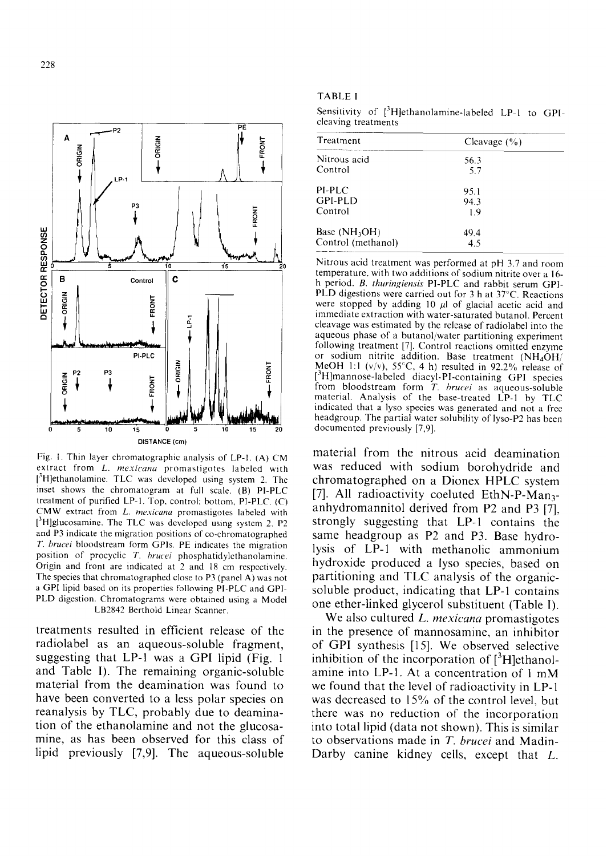

Fig. t. Thin layer chromatographic analysis of LP-I. (A) CM extract from *L. mexicana* promastigotes labeled with [3H]ethanolamine. TLC was developed using system 2. Thc inset shows the chromatogram at full scale. (B) PI-PLC treatment of purified LP-I. Top, control: bottom, PI-PLC. (C) CMW extract from *L. rnexicana* promastigotes labeled with [3H]glucosamine. The TLC was developed using system 2. P2 and P3 indicate the migration positions of co-chromatographed *T. brucei* bloodstream form GPIs. PE indicates the migration position of procyclic *T. hrucei* phosphatidylethanolamine. Origin and front are indicated at 2 and 18 cm respectively. The species that chromatographed close to P3 (panel A) was not a GPI lipid based on its properties following PI-PLC and GPI-PLD digestion. Chromatograms were obtained using a Model LB2842 Berthold Linear Scanner.

treatments resulted in efficient release of the radiolabel as an aqueous-soluble fragment, suggesting that LP-1 was a GPI lipid (Fig. 1 and Table I). The remaining organic-soluble material from the deamination was found to have been converted to a less polar species on reanalysis by TLC, probably due to deamination of the ethanolamine and not the glucosamine, as has been observed for this class of lipid previously [7,9]. The aqueous-soluble

#### TABLE 1

Sensitivity of [<sup>3</sup>H]ethanolamine-labeled LP-1 to GPIcleaving treatments

| 56.3<br>5.7 |
|-------------|
|             |
|             |
| 95.1        |
| 94.3        |
| 1.9         |
| 49.4        |
| 4.5         |
|             |

Nitrous acid treatment was performed at pH 3.7 and room temperature, with two additions of sodium nitrite over a 16 h period. *B. thuringiensis* PI-PLC and rabbit serum GPI-PLD digestions were carried out for 3 h at 37"C. Reactions were stopped by adding 10  $\mu$ l of glacial acetic acid and immediate extraction with water-saturated butanol. Percent cleavage was estimated by the release of radiolabel into the aqueous phase of a butanol/water partitioning experiment following treatment [7]. Control reactions omitted enzyme or sodium nitrite addition. Base treatment  $(NH<sub>4</sub>OH)$ MeOH 1:1 (v/v),  $55^{\circ}$ C, 4 h) resulted in 92.2% release of [3H]mannose-labeled diacyl-PI-containing GPI species from bloodstream form *T. brucei* as aqueous-soluble material. Analysis of the base-treated LP-I by TLC indicated that a lyso species was generated and not a free headgroup. The partial water solubility of lyso-P2 has been documented previously [7,9].

material from the nitrous acid deamination was reduced with sodium borohydride and chromatographed on a Dionex HPLC system [7]. All radioactivity coeluted EthN-P-Man<sub>3</sub>anhydromannitol derived from P2 and P3 [7], strongly suggesting that LP-1 contains the same headgroup as P2 and P3. Base hydrolysis of LP-1 with methanolic ammonium hydroxide produced a lyso species, based on partitioning and TLC analysis of the organicsoluble product, indicating that LP-1 contains one ether-linked glycerol substituent (Table I).

We also cultured *L. mexicana* promastigotes in the presence of mannosamine, an inhibitor of GPI synthesis [15]. We observed selective inhibition of the incorporation of  $[{}^{3}H]$ ethanolamine into LP-I. At a concentration of 1 mM we found that the level of radioactivity in LP-1 was decreased to 15% of the control level, but there was no reduction of the incorporation into total lipid (data not shown). This is similar to observations made in *T. brucei* and Madin-Darby canine kidney cells, except that L.